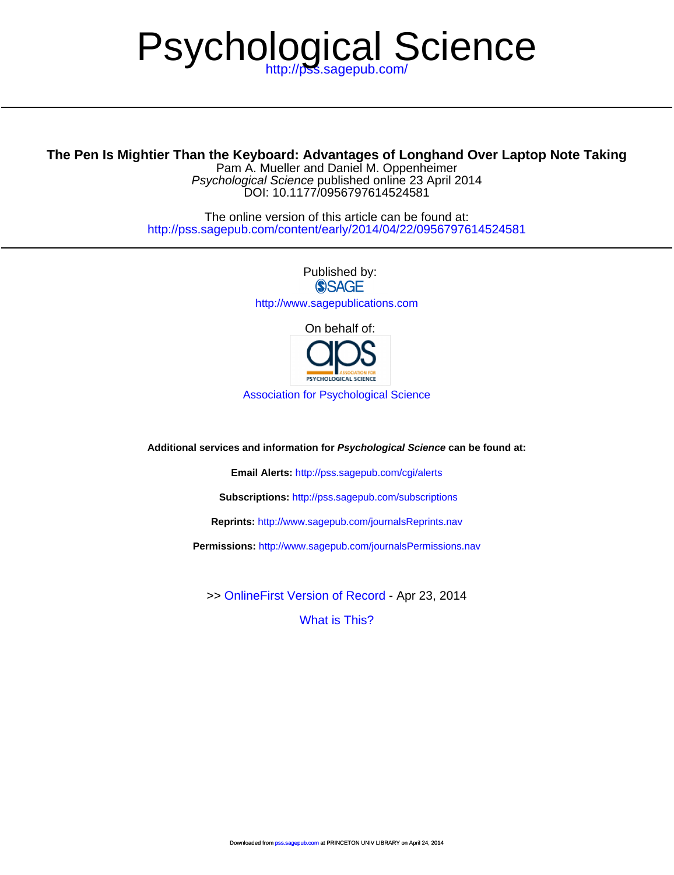# Psychological Science

# **The Pen Is Mightier Than the Keyboard: Advantages of Longhand Over Laptop Note Taking**

DOI: 10.1177/0956797614524581 Psychological Science published online 23 April 2014 Pam A. Mueller and Daniel M. Oppenheimer

http://pss.sagepub.com/content/early/2014/04/22/0956797614524581 The online version of this article can be found at:

> Published by:<br>
> SAGE http://www.sagepublications.com On behalf of:



Association for Psychological Science

**Additional services and information for Psychological Science can be found at:**

**Email Alerts:** http://pss.sagepub.com/cgi/alerts

**Subscriptions:** http://pss.sagepub.com/subscriptions

**Reprints:** http://www.sagepub.com/journalsReprints.nav

**Permissions:** http://www.sagepub.com/journalsPermissions.nav

>> OnlineFirst Version of Record - Apr 23, 2014

What is This?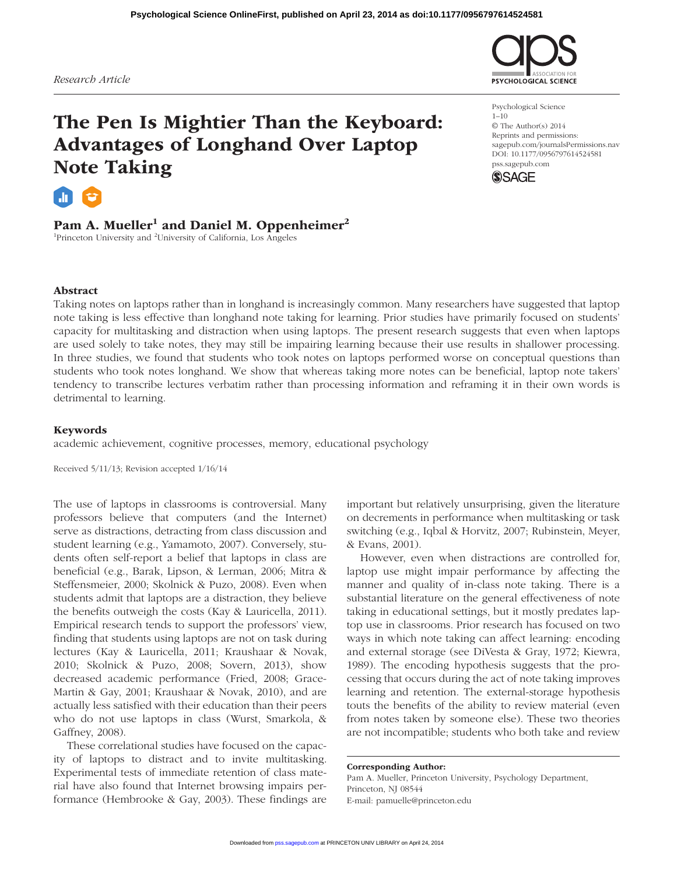*Research Article*



# The Pen Is Mightier Than the Keyboard: Advantages of Longhand Over Laptop Note Taking



# Pam A. Mueller<sup>1</sup> and Daniel M. Oppenheimer<sup>2</sup>

<sup>1</sup>Princeton University and <sup>2</sup>University of California, Los Angeles

Psychological Science  $1 - 10$ © The Author(s) 2014 Reprints and permissions: sagepub.com/journalsPermissions.nav DOI: 10.1177/0956797614524581 pss.sagepub.com



# Abstract

Taking notes on laptops rather than in longhand is increasingly common. Many researchers have suggested that laptop note taking is less effective than longhand note taking for learning. Prior studies have primarily focused on students' capacity for multitasking and distraction when using laptops. The present research suggests that even when laptops are used solely to take notes, they may still be impairing learning because their use results in shallower processing. In three studies, we found that students who took notes on laptops performed worse on conceptual questions than students who took notes longhand. We show that whereas taking more notes can be beneficial, laptop note takers' tendency to transcribe lectures verbatim rather than processing information and reframing it in their own words is detrimental to learning.

#### Keywords

academic achievement, cognitive processes, memory, educational psychology

Received 5/11/13; Revision accepted 1/16/14

The use of laptops in classrooms is controversial. Many professors believe that computers (and the Internet) serve as distractions, detracting from class discussion and student learning (e.g., Yamamoto, 2007). Conversely, students often self-report a belief that laptops in class are beneficial (e.g., Barak, Lipson, & Lerman, 2006; Mitra & Steffensmeier, 2000; Skolnick & Puzo, 2008). Even when students admit that laptops are a distraction, they believe the benefits outweigh the costs (Kay & Lauricella, 2011). Empirical research tends to support the professors' view, finding that students using laptops are not on task during lectures (Kay & Lauricella, 2011; Kraushaar & Novak, 2010; Skolnick & Puzo, 2008; Sovern, 2013), show decreased academic performance (Fried, 2008; Grace-Martin & Gay, 2001; Kraushaar & Novak, 2010), and are actually less satisfied with their education than their peers who do not use laptops in class (Wurst, Smarkola, & Gaffney, 2008).

These correlational studies have focused on the capacity of laptops to distract and to invite multitasking. Experimental tests of immediate retention of class material have also found that Internet browsing impairs performance (Hembrooke & Gay, 2003). These findings are

important but relatively unsurprising, given the literature on decrements in performance when multitasking or task switching (e.g., Iqbal & Horvitz, 2007; Rubinstein, Meyer, & Evans, 2001).

However, even when distractions are controlled for, laptop use might impair performance by affecting the manner and quality of in-class note taking. There is a substantial literature on the general effectiveness of note taking in educational settings, but it mostly predates laptop use in classrooms. Prior research has focused on two ways in which note taking can affect learning: encoding and external storage (see DiVesta & Gray, 1972; Kiewra, 1989). The encoding hypothesis suggests that the processing that occurs during the act of note taking improves learning and retention. The external-storage hypothesis touts the benefits of the ability to review material (even from notes taken by someone else). These two theories are not incompatible; students who both take and review

Corresponding Author: Pam A. Mueller, Princeton University, Psychology Department, Princeton, NJ 08544 E-mail: pamuelle@princeton.edu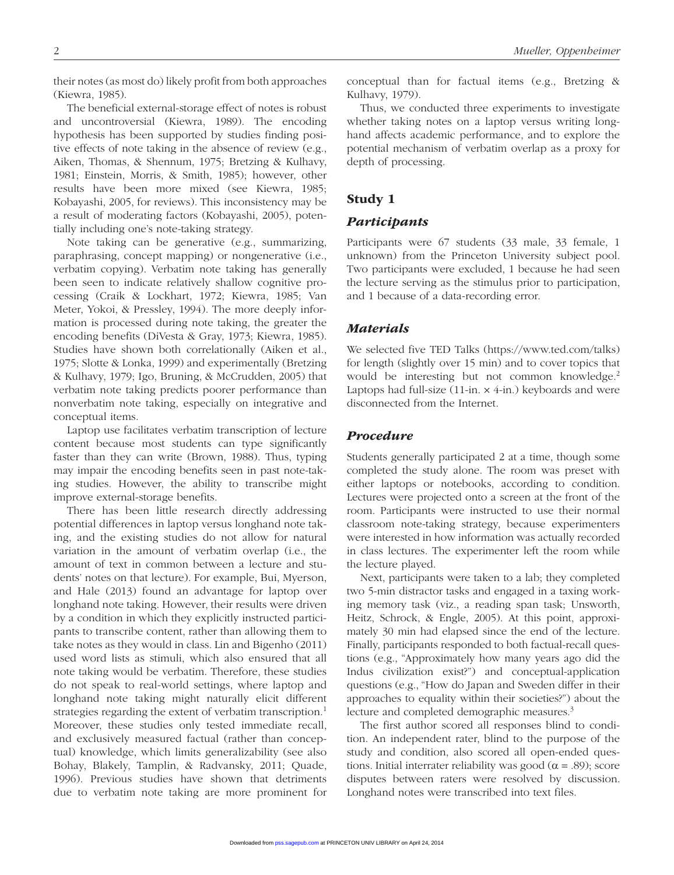their notes (as most do) likely profit from both approaches (Kiewra, 1985).

The beneficial external-storage effect of notes is robust and uncontroversial (Kiewra, 1989). The encoding hypothesis has been supported by studies finding positive effects of note taking in the absence of review (e.g., Aiken, Thomas, & Shennum, 1975; Bretzing & Kulhavy, 1981; Einstein, Morris, & Smith, 1985); however, other results have been more mixed (see Kiewra, 1985; Kobayashi, 2005, for reviews). This inconsistency may be a result of moderating factors (Kobayashi, 2005), potentially including one's note-taking strategy.

Note taking can be generative (e.g., summarizing, paraphrasing, concept mapping) or nongenerative (i.e., verbatim copying). Verbatim note taking has generally been seen to indicate relatively shallow cognitive processing (Craik & Lockhart, 1972; Kiewra, 1985; Van Meter, Yokoi, & Pressley, 1994). The more deeply information is processed during note taking, the greater the encoding benefits (DiVesta & Gray, 1973; Kiewra, 1985). Studies have shown both correlationally (Aiken et al., 1975; Slotte & Lonka, 1999) and experimentally (Bretzing & Kulhavy, 1979; Igo, Bruning, & McCrudden, 2005) that verbatim note taking predicts poorer performance than nonverbatim note taking, especially on integrative and conceptual items.

Laptop use facilitates verbatim transcription of lecture content because most students can type significantly faster than they can write (Brown, 1988). Thus, typing may impair the encoding benefits seen in past note-taking studies. However, the ability to transcribe might improve external-storage benefits.

There has been little research directly addressing potential differences in laptop versus longhand note taking, and the existing studies do not allow for natural variation in the amount of verbatim overlap (i.e., the amount of text in common between a lecture and students' notes on that lecture). For example, Bui, Myerson, and Hale (2013) found an advantage for laptop over longhand note taking. However, their results were driven by a condition in which they explicitly instructed participants to transcribe content, rather than allowing them to take notes as they would in class. Lin and Bigenho (2011) used word lists as stimuli, which also ensured that all note taking would be verbatim. Therefore, these studies do not speak to real-world settings, where laptop and longhand note taking might naturally elicit different strategies regarding the extent of verbatim transcription.<sup>1</sup> Moreover, these studies only tested immediate recall, and exclusively measured factual (rather than conceptual) knowledge, which limits generalizability (see also Bohay, Blakely, Tamplin, & Radvansky, 2011; Quade, 1996). Previous studies have shown that detriments due to verbatim note taking are more prominent for

conceptual than for factual items (e.g., Bretzing & Kulhavy, 1979).

Thus, we conducted three experiments to investigate whether taking notes on a laptop versus writing longhand affects academic performance, and to explore the potential mechanism of verbatim overlap as a proxy for depth of processing.

# Study 1

# **Participants**

Participants were 67 students (33 male, 33 female, 1 unknown) from the Princeton University subject pool. Two participants were excluded, 1 because he had seen the lecture serving as the stimulus prior to participation, and 1 because of a data-recording error.

#### Materials

We selected five TED Talks (https://www.ted.com/talks) for length (slightly over 15 min) and to cover topics that would be interesting but not common knowledge.<sup>2</sup> Laptops had full-size  $(11-in. \times 4-in.)$  keyboards and were disconnected from the Internet.

# Procedure

Students generally participated 2 at a time, though some completed the study alone. The room was preset with either laptops or notebooks, according to condition. Lectures were projected onto a screen at the front of the room. Participants were instructed to use their normal classroom note-taking strategy, because experimenters were interested in how information was actually recorded in class lectures. The experimenter left the room while the lecture played.

Next, participants were taken to a lab; they completed two 5-min distractor tasks and engaged in a taxing working memory task (viz., a reading span task; Unsworth, Heitz, Schrock, & Engle, 2005). At this point, approximately 30 min had elapsed since the end of the lecture. Finally, participants responded to both factual-recall questions (e.g., "Approximately how many years ago did the Indus civilization exist?") and conceptual-application questions (e.g., "How do Japan and Sweden differ in their approaches to equality within their societies?") about the lecture and completed demographic measures.<sup>3</sup>

The first author scored all responses blind to condition. An independent rater, blind to the purpose of the study and condition, also scored all open-ended questions. Initial interrater reliability was good ( $\alpha$  = .89); score disputes between raters were resolved by discussion. Longhand notes were transcribed into text files.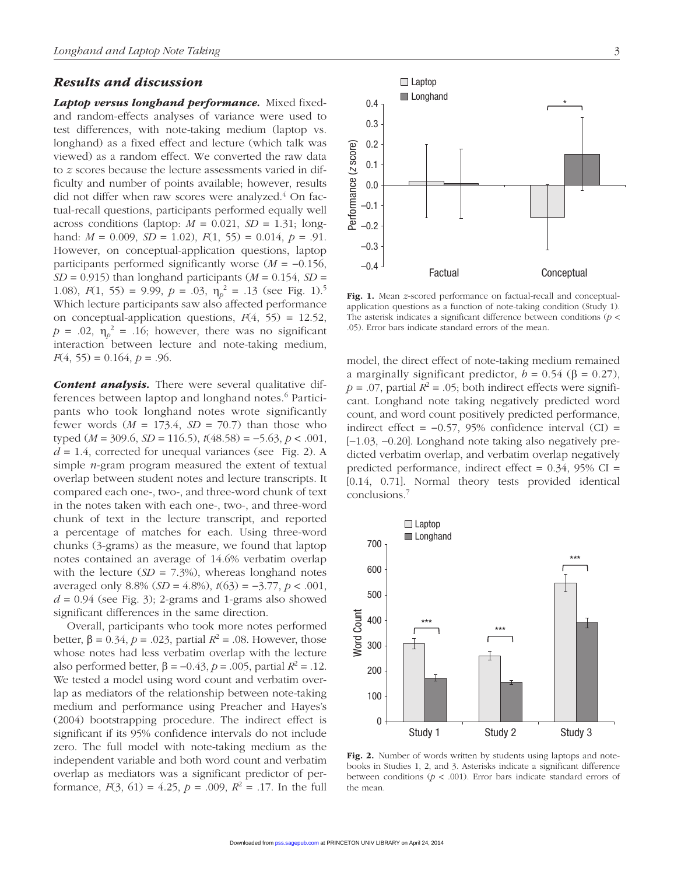# Results and discussion

Laptop versus longband performance. Mixed fixedand random-effects analyses of variance were used to test differences, with note-taking medium (laptop vs. longhand) as a fixed effect and lecture (which talk was viewed) as a random effect. We converted the raw data to *z* scores because the lecture assessments varied in difficulty and number of points available; however, results did not differ when raw scores were analyzed.<sup>4</sup> On factual-recall questions, participants performed equally well across conditions (laptop: *M* = 0.021, *SD =* 1.31; longhand: *M* = 0.009, *SD =* 1.02), *F*(1, 55) = 0.014, *p =* .91. However, on conceptual-application questions, laptop participants performed significantly worse (*M* = −0.156,  $SD = 0.915$ ) than longhand participants ( $M = 0.154$ ,  $SD =$ 1.08),  $F(1, 55) = 9.99$ ,  $p = .03$ ,  $\eta_p^2 = .13$  (see Fig. 1).<sup>5</sup> Which lecture participants saw also affected performance on conceptual-application questions, *F*(4, 55) = 12.52,  $p = .02$ ,  $\eta_p^2 = .16$ ; however, there was no significant interaction between lecture and note-taking medium,  $F(4, 55) = 0.164, p = .96.$ 

**Content analysis.** There were several qualitative differences between laptop and longhand notes.<sup>6</sup> Participants who took longhand notes wrote significantly fewer words  $(M = 173.4, SD = 70.7)$  than those who typed (*M =* 309.6, *SD =* 116.5), *t*(48.58) = −5.63, *p* < .001,  $d = 1.4$ , corrected for unequal variances (see Fig. 2). A simple *n*-gram program measured the extent of textual overlap between student notes and lecture transcripts. It compared each one-, two-, and three-word chunk of text in the notes taken with each one-, two-, and three-word chunk of text in the lecture transcript, and reported a percentage of matches for each. Using three-word chunks (3-grams) as the measure, we found that laptop notes contained an average of 14.6% verbatim overlap with the lecture  $(SD = 7.3\%)$ , whereas longhand notes averaged only 8.8% (*SD =* 4.8%), *t*(63) = −3.77, *p* < .001,  $d = 0.94$  (see Fig. 3); 2-grams and 1-grams also showed significant differences in the same direction.

Overall, participants who took more notes performed better,  $\beta = 0.34$ ,  $p = .023$ , partial  $R^2 = .08$ . However, those whose notes had less verbatim overlap with the lecture also performed better,  $β = −0.43, p = .005$ , partial  $R^2 = .12$ . We tested a model using word count and verbatim overlap as mediators of the relationship between note-taking medium and performance using Preacher and Hayes's (2004) bootstrapping procedure. The indirect effect is significant if its 95% confidence intervals do not include zero. The full model with note-taking medium as the independent variable and both word count and verbatim overlap as mediators was a significant predictor of performance,  $F(3, 61) = 4.25$ ,  $p = .009$ ,  $R^2 = .17$ . In the full



Fig. 1. Mean *z*-scored performance on factual-recall and conceptualapplication questions as a function of note-taking condition (Study 1). The asterisk indicates a significant difference between conditions (*p* < .05). Error bars indicate standard errors of the mean.

model, the direct effect of note-taking medium remained a marginally significant predictor,  $b = 0.54$  ( $\beta = 0.27$ ),  $p = 0.07$ , partial  $R^2 = 0.05$ ; both indirect effects were significant. Longhand note taking negatively predicted word count, and word count positively predicted performance, indirect effect = −0.57, 95% confidence interval (CI) = [−1.03, −0.20]. Longhand note taking also negatively predicted verbatim overlap, and verbatim overlap negatively predicted performance, indirect effect =  $0.34$ ,  $95\%$  CI = [0.14, 0.71]. Normal theory tests provided identical conclusions.<sup>7</sup>



Fig. 2. Number of words written by students using laptops and notebooks in Studies 1, 2, and 3. Asterisks indicate a significant difference between conditions ( $p < .001$ ). Error bars indicate standard errors of the mean.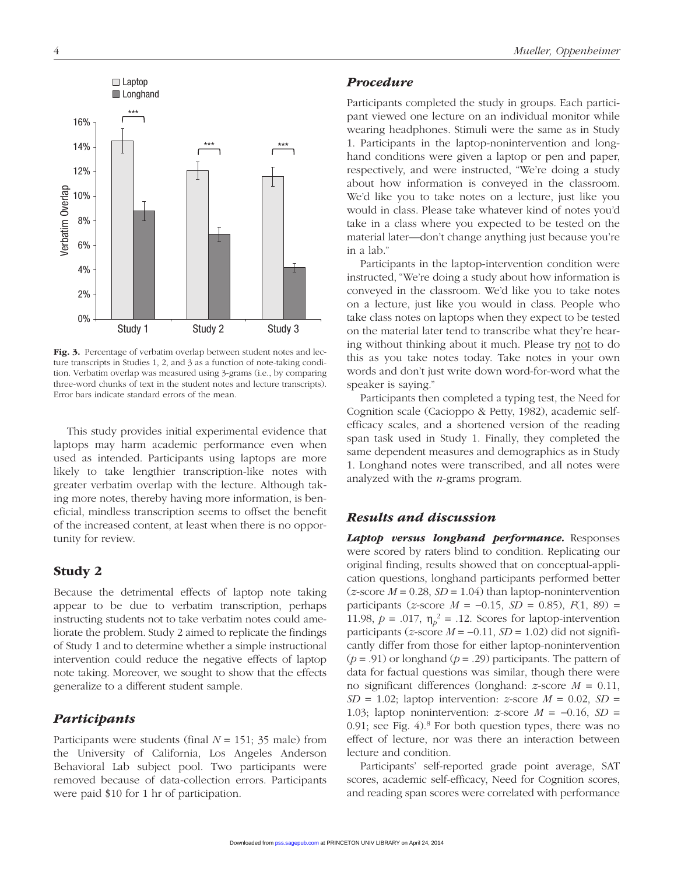

Fig. 3. Percentage of verbatim overlap between student notes and lecture transcripts in Studies 1, 2, and 3 as a function of note-taking condition. Verbatim overlap was measured using 3-grams (i.e., by comparing three-word chunks of text in the student notes and lecture transcripts). Error bars indicate standard errors of the mean.

This study provides initial experimental evidence that laptops may harm academic performance even when used as intended. Participants using laptops are more likely to take lengthier transcription-like notes with greater verbatim overlap with the lecture. Although taking more notes, thereby having more information, is beneficial, mindless transcription seems to offset the benefit of the increased content, at least when there is no opportunity for review.

# Study 2

Because the detrimental effects of laptop note taking appear to be due to verbatim transcription, perhaps instructing students not to take verbatim notes could ameliorate the problem. Study 2 aimed to replicate the findings of Study 1 and to determine whether a simple instructional intervention could reduce the negative effects of laptop note taking. Moreover, we sought to show that the effects generalize to a different student sample.

# **Participants**

Participants were students (final *N* = 151; 35 male) from the University of California, Los Angeles Anderson Behavioral Lab subject pool. Two participants were removed because of data-collection errors. Participants were paid \$10 for 1 hr of participation.

#### Procedure

Participants completed the study in groups. Each participant viewed one lecture on an individual monitor while wearing headphones. Stimuli were the same as in Study 1. Participants in the laptop-nonintervention and longhand conditions were given a laptop or pen and paper, respectively, and were instructed, "We're doing a study about how information is conveyed in the classroom. We'd like you to take notes on a lecture, just like you would in class. Please take whatever kind of notes you'd take in a class where you expected to be tested on the material later—don't change anything just because you're in a lab."

Participants in the laptop-intervention condition were instructed, "We're doing a study about how information is conveyed in the classroom. We'd like you to take notes on a lecture, just like you would in class. People who take class notes on laptops when they expect to be tested on the material later tend to transcribe what they're hearing without thinking about it much. Please try not to do this as you take notes today. Take notes in your own words and don't just write down word-for-word what the speaker is saying."

Participants then completed a typing test, the Need for Cognition scale (Cacioppo & Petty, 1982), academic selfefficacy scales, and a shortened version of the reading span task used in Study 1. Finally, they completed the same dependent measures and demographics as in Study 1. Longhand notes were transcribed, and all notes were analyzed with the *n*-grams program.

# Results and discussion

Laptop versus longhand performance. Responses were scored by raters blind to condition. Replicating our original finding, results showed that on conceptual-application questions, longhand participants performed better  $(z$ -score  $M = 0.28$ ,  $SD = 1.04$ ) than laptop-nonintervention participants (*z*-score *M* = −0.15, *SD* = 0.85), *F*(1, 89) = 11.98,  $p = .017$ ,  $\eta_p^2 = .12$ . Scores for laptop-intervention participants ( $z$ -score  $M = -0.11$ ,  $SD = 1.02$ ) did not significantly differ from those for either laptop-nonintervention (*p* = .91) or longhand (*p* = .29) participants. The pattern of data for factual questions was similar, though there were no significant differences (longhand: *z*-score *M* = 0.11,  $SD = 1.02$ ; laptop intervention: *z*-score  $M = 0.02$ ,  $SD =$ 1.03; laptop nonintervention: *z*-score *M* = −0.16, *SD* = 0.91; see Fig. 4).<sup>8</sup> For both question types, there was no effect of lecture, nor was there an interaction between lecture and condition.

Participants' self-reported grade point average, SAT scores, academic self-efficacy, Need for Cognition scores, and reading span scores were correlated with performance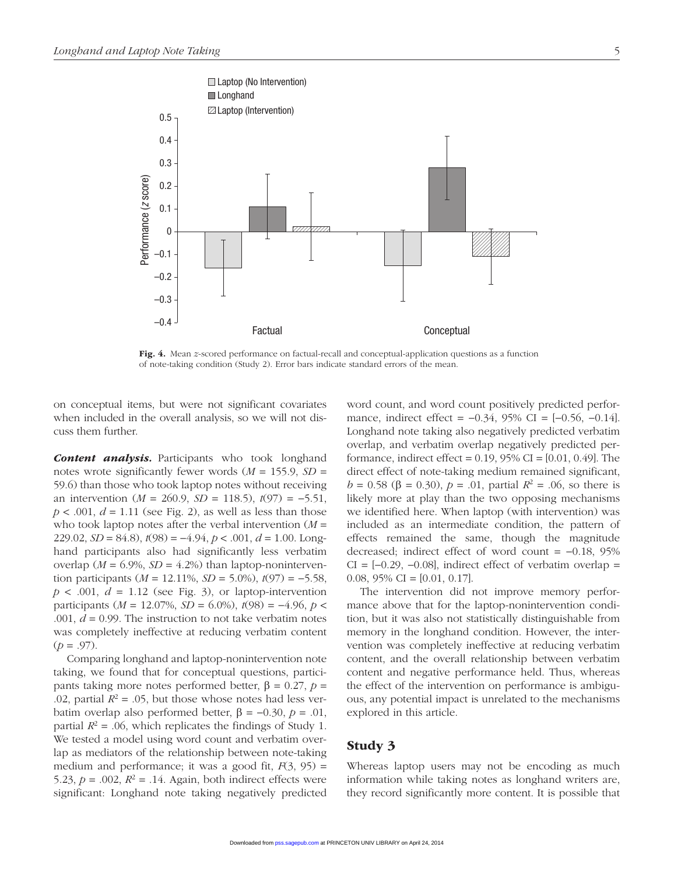

Fig. 4. Mean *z*-scored performance on factual-recall and conceptual-application questions as a function of note-taking condition (Study 2). Error bars indicate standard errors of the mean.

on conceptual items, but were not significant covariates when included in the overall analysis, so we will not discuss them further.

**Content analysis.** Participants who took longhand notes wrote significantly fewer words (*M* = 155.9, *SD* = 59.6) than those who took laptop notes without receiving an intervention (*M* = 260.9, *SD* = 118.5), *t*(97) = −5.51,  $p < .001$ ,  $d = 1.11$  (see Fig. 2), as well as less than those who took laptop notes after the verbal intervention (*M* = 229.02, *SD* = 84.8), *t*(98) = −4.94, *p* < .001, *d* = 1.00. Longhand participants also had significantly less verbatim overlap  $(M = 6.9\%, SD = 4.2\%)$  than laptop-nonintervention participants (*M* = 12.11%, *SD* = 5.0%), *t*(97) = −5.58,  $p < .001$ ,  $d = 1.12$  (see Fig. 3), or laptop-intervention participants (*M* = 12.07%, *SD* = 6.0%), *t*(98) = −4.96, *p* < .001,  $d = 0.99$ . The instruction to not take verbatim notes was completely ineffective at reducing verbatim content  $(p = .97)$ .

Comparing longhand and laptop-nonintervention note taking, we found that for conceptual questions, participants taking more notes performed better,  $β = 0.27$ ,  $p =$ .02, partial  $R^2 = .05$ , but those whose notes had less verbatim overlap also performed better, β = −0.30, *p* = .01, partial  $R^2 = 0.06$ , which replicates the findings of Study 1. We tested a model using word count and verbatim overlap as mediators of the relationship between note-taking medium and performance; it was a good fit, *F*(3, 95) = 5.23,  $p = .002$ ,  $R^2 = .14$ . Again, both indirect effects were significant: Longhand note taking negatively predicted

word count, and word count positively predicted performance, indirect effect = −0.34, 95% CI = [−0.56, −0.14]. Longhand note taking also negatively predicted verbatim overlap, and verbatim overlap negatively predicted performance, indirect effect =  $0.19$ ,  $95\%$  CI =  $[0.01, 0.49]$ . The direct effect of note-taking medium remained significant,  $b = 0.58$  (β = 0.30),  $p = .01$ , partial  $R<sup>2</sup> = .06$ , so there is likely more at play than the two opposing mechanisms we identified here. When laptop (with intervention) was included as an intermediate condition, the pattern of effects remained the same, though the magnitude decreased; indirect effect of word count = −0.18, 95% CI =  $[-0.29, -0.08]$ , indirect effect of verbatim overlap = 0.08,  $95\%$  CI = [0.01, 0.17].

The intervention did not improve memory performance above that for the laptop-nonintervention condition, but it was also not statistically distinguishable from memory in the longhand condition. However, the intervention was completely ineffective at reducing verbatim content, and the overall relationship between verbatim content and negative performance held. Thus, whereas the effect of the intervention on performance is ambiguous, any potential impact is unrelated to the mechanisms explored in this article.

# Study 3

Whereas laptop users may not be encoding as much information while taking notes as longhand writers are, they record significantly more content. It is possible that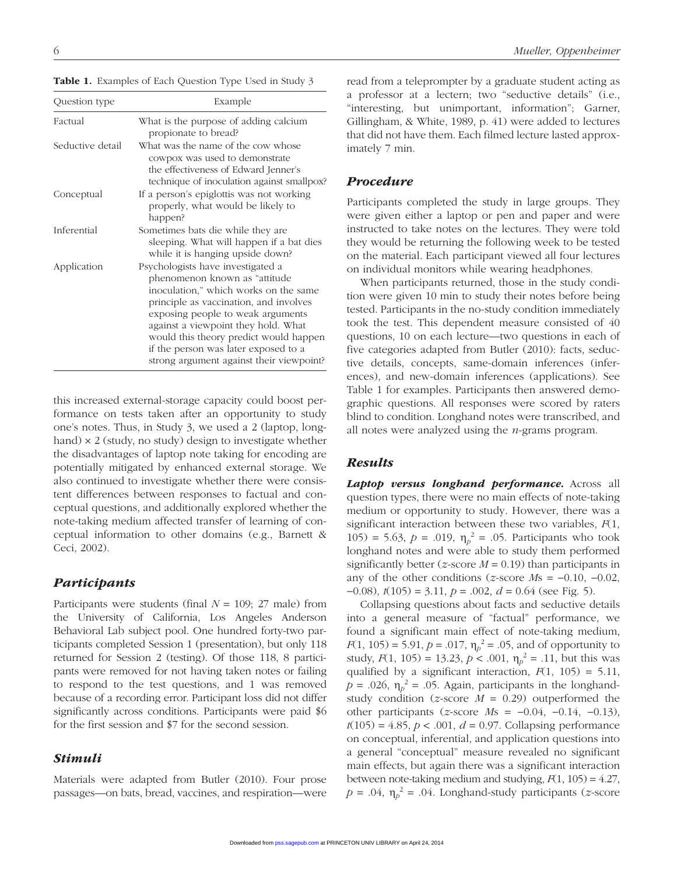| Question type    | Example<br>What is the purpose of adding calcium<br>propionate to bread?                                                                                                                                                                                                                                                                                        |  |  |
|------------------|-----------------------------------------------------------------------------------------------------------------------------------------------------------------------------------------------------------------------------------------------------------------------------------------------------------------------------------------------------------------|--|--|
| Factual          |                                                                                                                                                                                                                                                                                                                                                                 |  |  |
| Seductive detail | What was the name of the cow whose<br>cowpox was used to demonstrate<br>the effectiveness of Edward Jenner's<br>technique of inoculation against smallpox?                                                                                                                                                                                                      |  |  |
| Conceptual       | If a person's epiglottis was not working<br>properly, what would be likely to<br>happen?                                                                                                                                                                                                                                                                        |  |  |
| Inferential      | Sometimes bats die while they are<br>sleeping. What will happen if a bat dies<br>while it is hanging upside down?                                                                                                                                                                                                                                               |  |  |
| Application      | Psychologists have investigated a<br>phenomenon known as "attitude<br>inoculation," which works on the same<br>principle as vaccination, and involves<br>exposing people to weak arguments<br>against a viewpoint they hold. What<br>would this theory predict would happen<br>if the person was later exposed to a<br>strong argument against their viewpoint? |  |  |

Table 1. Examples of Each Question Type Used in Study 3

this increased external-storage capacity could boost performance on tests taken after an opportunity to study one's notes. Thus, in Study 3, we used a 2 (laptop, longhand) × 2 (study, no study) design to investigate whether the disadvantages of laptop note taking for encoding are potentially mitigated by enhanced external storage. We also continued to investigate whether there were consistent differences between responses to factual and conceptual questions, and additionally explored whether the note-taking medium affected transfer of learning of conceptual information to other domains (e.g., Barnett & Ceci, 2002).

# Participants

Participants were students (final *N* = 109; 27 male) from the University of California, Los Angeles Anderson Behavioral Lab subject pool. One hundred forty-two participants completed Session 1 (presentation), but only 118 returned for Session 2 (testing). Of those 118, 8 participants were removed for not having taken notes or failing to respond to the test questions, and 1 was removed because of a recording error. Participant loss did not differ significantly across conditions. Participants were paid \$6 for the first session and \$7 for the second session.

# Stimuli

Materials were adapted from Butler (2010). Four prose passages—on bats, bread, vaccines, and respiration—were read from a teleprompter by a graduate student acting as a professor at a lectern; two "seductive details" (i.e., "interesting, but unimportant, information"; Garner, Gillingham, & White, 1989, p. 41) were added to lectures that did not have them. Each filmed lecture lasted approximately 7 min.

# Procedure

Participants completed the study in large groups. They were given either a laptop or pen and paper and were instructed to take notes on the lectures. They were told they would be returning the following week to be tested on the material. Each participant viewed all four lectures on individual monitors while wearing headphones.

When participants returned, those in the study condition were given 10 min to study their notes before being tested. Participants in the no-study condition immediately took the test. This dependent measure consisted of 40 questions, 10 on each lecture—two questions in each of five categories adapted from Butler (2010): facts, seductive details, concepts, same-domain inferences (inferences), and new-domain inferences (applications). See Table 1 for examples. Participants then answered demographic questions. All responses were scored by raters blind to condition. Longhand notes were transcribed, and all notes were analyzed using the *n*-grams program.

# Results

Laptop versus longband performance. Across all question types, there were no main effects of note-taking medium or opportunity to study. However, there was a significant interaction between these two variables, *F*(1, 105) = 5.63,  $p = .019$ ,  $\eta_p^2 = .05$ . Participants who took longhand notes and were able to study them performed significantly better (*z*-score  $M = 0.19$ ) than participants in any of the other conditions (*z*-score *M*s = −0.10, −0.02, −0.08), *t*(105) = 3.11, *p* = .002, *d* = 0.64 (see Fig. 5).

Collapsing questions about facts and seductive details into a general measure of "factual" performance, we found a significant main effect of note-taking medium,  $F(1, 105) = 5.91, p = .017, \eta_p^2 = .05$ , and of opportunity to study,  $F(1, 105) = 13.23, p < .001, \eta_p^2 = .11$ , but this was qualified by a significant interaction,  $F(1, 105) = 5.11$ ,  $p = .026$ ,  $\eta_p^2 = .05$ . Again, participants in the longhandstudy condition (*z*-score *M* = 0.29) outperformed the other participants (*z*-score *M*s = −0.04, −0.14, −0.13),  $t(105) = 4.85, p < .001, d = 0.97$ . Collapsing performance on conceptual, inferential, and application questions into a general "conceptual" measure revealed no significant main effects, but again there was a significant interaction between note-taking medium and studying,  $F(1, 105) = 4.27$ ,  $p = .04$ ,  $\eta_p^2 = .04$ . Longhand-study participants (*z*-score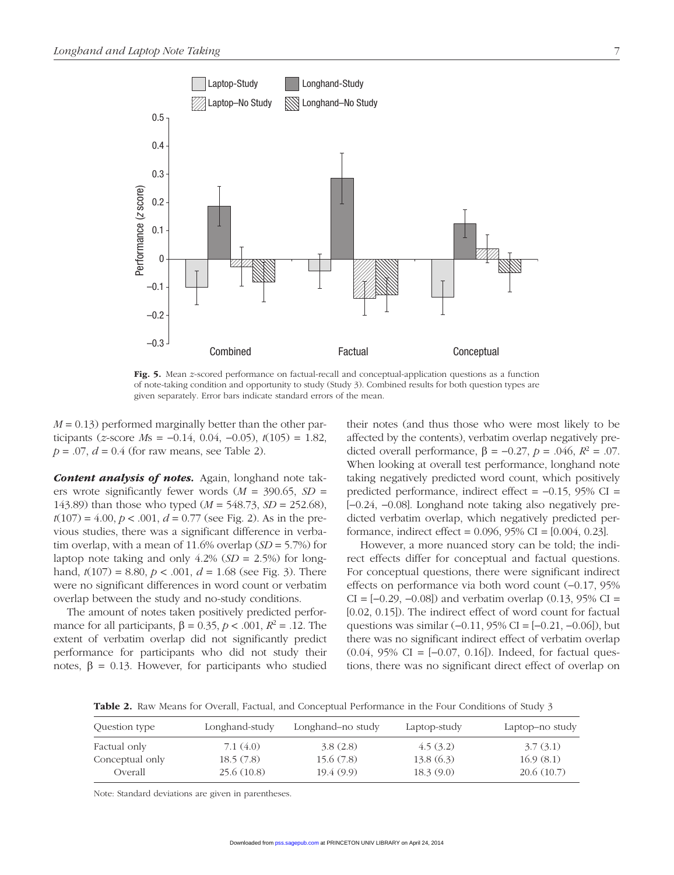

Fig. 5. Mean *z*-scored performance on factual-recall and conceptual-application questions as a function of note-taking condition and opportunity to study (Study 3). Combined results for both question types are given separately. Error bars indicate standard errors of the mean.

*M* = 0.13) performed marginally better than the other participants (*z*-score *M*s = −0.14, 0.04, −0.05), *t*(105) = 1.82,  $p = .07$ ,  $d = 0.4$  (for raw means, see Table 2).

**Content analysis of notes.** Again, longhand note takers wrote significantly fewer words (*M* = 390.65, *SD* = 143.89) than those who typed (*M* = 548.73, *SD* = 252.68),  $t(107) = 4.00, p < .001, d = 0.77$  (see Fig. 2). As in the previous studies, there was a significant difference in verbatim overlap, with a mean of 11.6% overlap (*SD* = 5.7%) for laptop note taking and only 4.2% (*SD* = 2.5%) for longhand, *t*(107) = 8.80, *p* < .001, *d* = 1.68 (see Fig. 3). There were no significant differences in word count or verbatim overlap between the study and no-study conditions.

The amount of notes taken positively predicted performance for all participants,  $\beta = 0.35$ ,  $p < .001$ ,  $R^2 = .12$ . The extent of verbatim overlap did not significantly predict performance for participants who did not study their notes,  $β = 0.13$ . However, for participants who studied

their notes (and thus those who were most likely to be affected by the contents), verbatim overlap negatively predicted overall performance,  $β = −0.27, p = .046, R² = .07$ . When looking at overall test performance, longhand note taking negatively predicted word count, which positively predicted performance, indirect effect = −0.15, 95% CI = [−0.24, −0.08]. Longhand note taking also negatively predicted verbatim overlap, which negatively predicted performance, indirect effect = 0.096, 95% CI = [0.004, 0.23].

However, a more nuanced story can be told; the indirect effects differ for conceptual and factual questions. For conceptual questions, there were significant indirect effects on performance via both word count (−0.17, 95% CI =  $[-0.29, -0.08]$ ) and verbatim overlap  $(0.13, 95\%$  CI = [0.02, 0.15]). The indirect effect of word count for factual questions was similar (−0.11, 95% CI = [−0.21, −0.06]), but there was no significant indirect effect of verbatim overlap  $(0.04, 95\% \text{ CI} = [-0.07, 0.16])$ . Indeed, for factual questions, there was no significant direct effect of overlap on

Table 2. Raw Means for Overall, Factual, and Conceptual Performance in the Four Conditions of Study 3

| Question type   | Longhand-study | Longhand–no study | Laptop-study | Laptop-no study |
|-----------------|----------------|-------------------|--------------|-----------------|
| Factual only    | 7.1(4.0)       | 3.8(2.8)          | 4.5(3.2)     | 3.7(3.1)        |
| Conceptual only | 18.5(7.8)      | 15.6(7.8)         | 13.8(6.3)    | 16.9(8.1)       |
| Overall         | 25.6(10.8)     | 19.4(9.9)         | 18.3(9.0)    | 20.6(10.7)      |

Note: Standard deviations are given in parentheses.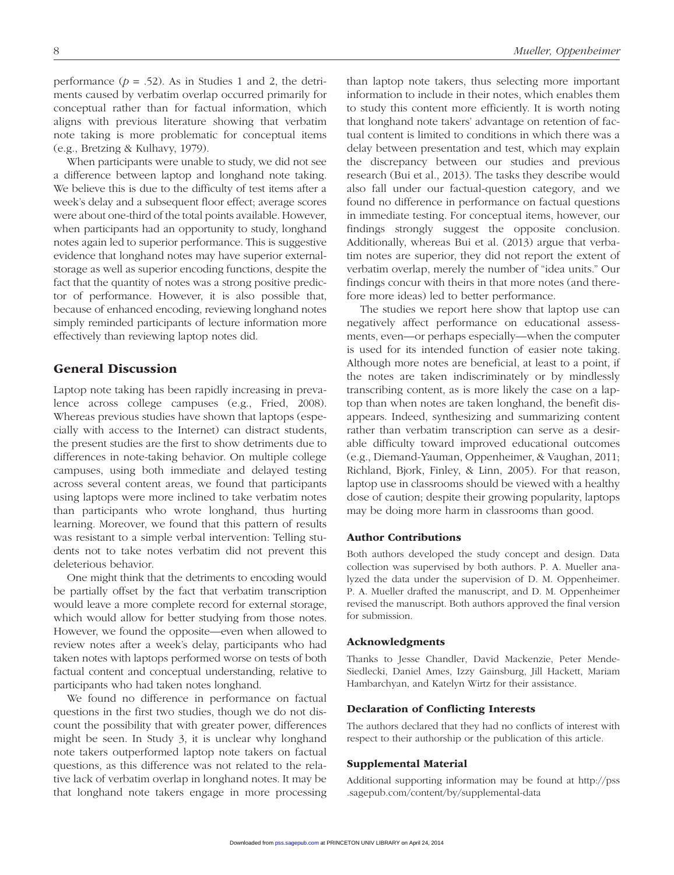performance  $(p = .52)$ . As in Studies 1 and 2, the detriments caused by verbatim overlap occurred primarily for conceptual rather than for factual information, which aligns with previous literature showing that verbatim note taking is more problematic for conceptual items (e.g., Bretzing & Kulhavy, 1979).

When participants were unable to study, we did not see a difference between laptop and longhand note taking. We believe this is due to the difficulty of test items after a week's delay and a subsequent floor effect; average scores were about one-third of the total points available. However, when participants had an opportunity to study, longhand notes again led to superior performance. This is suggestive evidence that longhand notes may have superior externalstorage as well as superior encoding functions, despite the fact that the quantity of notes was a strong positive predictor of performance. However, it is also possible that, because of enhanced encoding, reviewing longhand notes simply reminded participants of lecture information more effectively than reviewing laptop notes did.

# General Discussion

Laptop note taking has been rapidly increasing in prevalence across college campuses (e.g., Fried, 2008). Whereas previous studies have shown that laptops (especially with access to the Internet) can distract students, the present studies are the first to show detriments due to differences in note-taking behavior. On multiple college campuses, using both immediate and delayed testing across several content areas, we found that participants using laptops were more inclined to take verbatim notes than participants who wrote longhand, thus hurting learning. Moreover, we found that this pattern of results was resistant to a simple verbal intervention: Telling students not to take notes verbatim did not prevent this deleterious behavior.

One might think that the detriments to encoding would be partially offset by the fact that verbatim transcription would leave a more complete record for external storage, which would allow for better studying from those notes. However, we found the opposite—even when allowed to review notes after a week's delay, participants who had taken notes with laptops performed worse on tests of both factual content and conceptual understanding, relative to participants who had taken notes longhand.

We found no difference in performance on factual questions in the first two studies, though we do not discount the possibility that with greater power, differences might be seen. In Study 3, it is unclear why longhand note takers outperformed laptop note takers on factual questions, as this difference was not related to the relative lack of verbatim overlap in longhand notes. It may be that longhand note takers engage in more processing than laptop note takers, thus selecting more important information to include in their notes, which enables them to study this content more efficiently. It is worth noting that longhand note takers' advantage on retention of factual content is limited to conditions in which there was a delay between presentation and test, which may explain the discrepancy between our studies and previous research (Bui et al., 2013). The tasks they describe would also fall under our factual-question category, and we found no difference in performance on factual questions in immediate testing. For conceptual items, however, our findings strongly suggest the opposite conclusion. Additionally, whereas Bui et al. (2013) argue that verbatim notes are superior, they did not report the extent of verbatim overlap, merely the number of "idea units." Our findings concur with theirs in that more notes (and therefore more ideas) led to better performance.

The studies we report here show that laptop use can negatively affect performance on educational assessments, even—or perhaps especially—when the computer is used for its intended function of easier note taking. Although more notes are beneficial, at least to a point, if the notes are taken indiscriminately or by mindlessly transcribing content, as is more likely the case on a laptop than when notes are taken longhand, the benefit disappears. Indeed, synthesizing and summarizing content rather than verbatim transcription can serve as a desirable difficulty toward improved educational outcomes (e.g., Diemand-Yauman, Oppenheimer, & Vaughan, 2011; Richland, Bjork, Finley, & Linn, 2005). For that reason, laptop use in classrooms should be viewed with a healthy dose of caution; despite their growing popularity, laptops may be doing more harm in classrooms than good.

#### Author Contributions

Both authors developed the study concept and design. Data collection was supervised by both authors. P. A. Mueller analyzed the data under the supervision of D. M. Oppenheimer. P. A. Mueller drafted the manuscript, and D. M. Oppenheimer revised the manuscript. Both authors approved the final version for submission.

#### Acknowledgments

Thanks to Jesse Chandler, David Mackenzie, Peter Mende-Siedlecki, Daniel Ames, Izzy Gainsburg, Jill Hackett, Mariam Hambarchyan, and Katelyn Wirtz for their assistance.

#### Declaration of Conflicting Interests

The authors declared that they had no conflicts of interest with respect to their authorship or the publication of this article.

#### Supplemental Material

Additional supporting information may be found at http://pss .sagepub.com/content/by/supplemental-data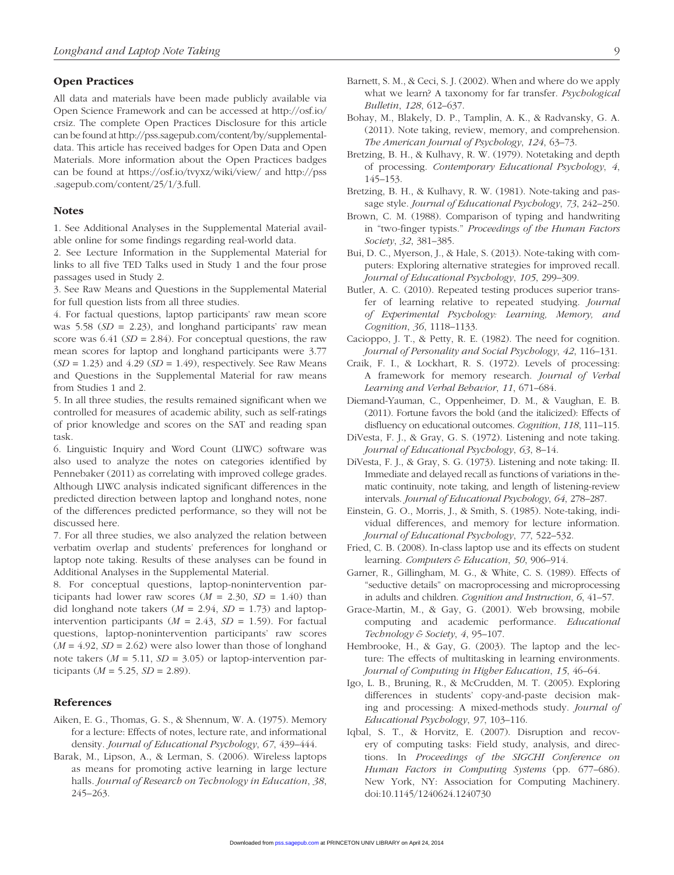#### Open Practices

All data and materials have been made publicly available via Open Science Framework and can be accessed at http://osf.io/ crsiz. The complete Open Practices Disclosure for this article can be found at http://pss.sagepub.com/content/by/supplementaldata. This article has received badges for Open Data and Open Materials. More information about the Open Practices badges can be found at https://osf.io/tvyxz/wiki/view/ and http://pss .sagepub.com/content/25/1/3.full.

#### **Notes**

1. See Additional Analyses in the Supplemental Material available online for some findings regarding real-world data.

2. See Lecture Information in the Supplemental Material for links to all five TED Talks used in Study 1 and the four prose passages used in Study 2.

3. See Raw Means and Questions in the Supplemental Material for full question lists from all three studies.

4. For factual questions, laptop participants' raw mean score was 5.58 (*SD* = 2.23), and longhand participants' raw mean score was  $6.41$  ( $SD = 2.84$ ). For conceptual questions, the raw mean scores for laptop and longhand participants were 3.77 (*SD* = 1.23) and 4.29 (*SD* = 1.49), respectively. See Raw Means and Questions in the Supplemental Material for raw means from Studies 1 and 2.

5. In all three studies, the results remained significant when we controlled for measures of academic ability, such as self-ratings of prior knowledge and scores on the SAT and reading span task.

6. Linguistic Inquiry and Word Count (LIWC) software was also used to analyze the notes on categories identified by Pennebaker (2011) as correlating with improved college grades. Although LIWC analysis indicated significant differences in the predicted direction between laptop and longhand notes, none of the differences predicted performance, so they will not be discussed here.

7. For all three studies, we also analyzed the relation between verbatim overlap and students' preferences for longhand or laptop note taking. Results of these analyses can be found in Additional Analyses in the Supplemental Material.

8. For conceptual questions, laptop-nonintervention participants had lower raw scores  $(M = 2.30, SD = 1.40)$  than did longhand note takers  $(M = 2.94, SD = 1.73)$  and laptopintervention participants  $(M = 2.43, SD = 1.59)$ . For factual questions, laptop-nonintervention participants' raw scores  $(M = 4.92, SD = 2.62)$  were also lower than those of longhand note takers  $(M = 5.11, SD = 3.05)$  or laptop-intervention participants ( $M = 5.25$ ,  $SD = 2.89$ ).

# References

- Aiken, E. G., Thomas, G. S., & Shennum, W. A. (1975). Memory for a lecture: Effects of notes, lecture rate, and informational density. *Journal of Educational Psychology*, *67*, 439–444.
- Barak, M., Lipson, A., & Lerman, S. (2006). Wireless laptops as means for promoting active learning in large lecture halls. *Journal of Research on Technology in Education*, *38*, 245–263.
- Barnett, S. M., & Ceci, S. J. (2002). When and where do we apply what we learn? A taxonomy for far transfer. *Psychological Bulletin*, *128*, 612–637.
- Bohay, M., Blakely, D. P., Tamplin, A. K., & Radvansky, G. A. (2011). Note taking, review, memory, and comprehension. *The American Journal of Psychology*, *124*, 63–73.
- Bretzing, B. H., & Kulhavy, R. W. (1979). Notetaking and depth of processing. *Contemporary Educational Psychology*, *4*, 145–153.
- Bretzing, B. H., & Kulhavy, R. W. (1981). Note-taking and passage style. *Journal of Educational Psychology*, *73*, 242–250.
- Brown, C. M. (1988). Comparison of typing and handwriting in "two-finger typists." *Proceedings of the Human Factors Society*, *32*, 381–385.
- Bui, D. C., Myerson, J., & Hale, S. (2013). Note-taking with computers: Exploring alternative strategies for improved recall. *Journal of Educational Psychology*, *105*, 299–309.
- Butler, A. C. (2010). Repeated testing produces superior transfer of learning relative to repeated studying. *Journal of Experimental Psychology: Learning, Memory, and Cognition*, *36*, 1118–1133.
- Cacioppo, J. T., & Petty, R. E. (1982). The need for cognition. *Journal of Personality and Social Psychology*, *42*, 116–131.
- Craik, F. I., & Lockhart, R. S. (1972). Levels of processing: A framework for memory research. *Journal of Verbal Learning and Verbal Behavior*, *11*, 671–684.
- Diemand-Yauman, C., Oppenheimer, D. M., & Vaughan, E. B. (2011). Fortune favors the bold (and the italicized): Effects of disfluency on educational outcomes. *Cognition*, *118*, 111–115.
- DiVesta, F. J., & Gray, G. S. (1972). Listening and note taking. *Journal of Educational Psychology*, *63*, 8–14.
- DiVesta, F. J., & Gray, S. G. (1973). Listening and note taking: II. Immediate and delayed recall as functions of variations in thematic continuity, note taking, and length of listening-review intervals. *Journal of Educational Psychology*, *64*, 278–287.
- Einstein, G. O., Morris, J., & Smith, S. (1985). Note-taking, individual differences, and memory for lecture information. *Journal of Educational Psychology*, *77*, 522–532.
- Fried, C. B. (2008). In-class laptop use and its effects on student learning. *Computers & Education*, *50*, 906–914.
- Garner, R., Gillingham, M. G., & White, C. S. (1989). Effects of "seductive details" on macroprocessing and microprocessing in adults and children. *Cognition and Instruction*, *6*, 41–57.
- Grace-Martin, M., & Gay, G. (2001). Web browsing, mobile computing and academic performance. *Educational Technology & Society*, *4*, 95–107.
- Hembrooke, H., & Gay, G. (2003). The laptop and the lecture: The effects of multitasking in learning environments. *Journal of Computing in Higher Education*, *15*, 46–64.
- Igo, L. B., Bruning, R., & McCrudden, M. T. (2005). Exploring differences in students' copy-and-paste decision making and processing: A mixed-methods study. *Journal of Educational Psychology*, *97*, 103–116.
- Iqbal, S. T., & Horvitz, E. (2007). Disruption and recovery of computing tasks: Field study, analysis, and directions*.* In *Proceedings of the SIGCHI Conference on Human Factors in Computing Systems* (pp. 677–686). New York, NY: Association for Computing Machinery. doi:10.1145/1240624.1240730